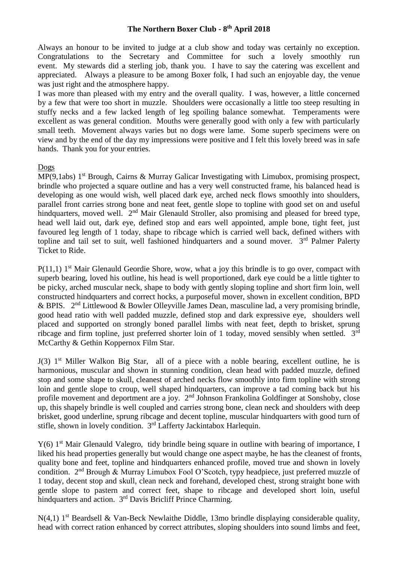## **The Northern Boxer Club - 8 th April 2018**

Always an honour to be invited to judge at a club show and today was certainly no exception. Congratulations to the Secretary and Committee for such a lovely smoothly run event. My stewards did a sterling job, thank you. I have to say the catering was excellent and appreciated. Always a pleasure to be among Boxer folk, I had such an enjoyable day, the venue was just right and the atmosphere happy.

I was more than pleased with my entry and the overall quality. I was, however, a little concerned by a few that were too short in muzzle. Shoulders were occasionally a little too steep resulting in stuffy necks and a few lacked length of leg spoiling balance somewhat. Temperaments were excellent as was general condition. Mouths were generally good with only a few with particularly small teeth. Movement always varies but no dogs were lame. Some superb specimens were on view and by the end of the day my impressions were positive and I felt this lovely breed was in safe hands. Thank you for your entries.

## Dogs

MP(9,1abs) 1<sup>st</sup> Brough, Cairns & Murray Galicar Investigating with Limubox, promising prospect, brindle who projected a square outline and has a very well constructed frame, his balanced head is developing as one would wish, well placed dark eye, arched neck flows smoothly into shoulders, parallel front carries strong bone and neat feet, gentle slope to topline with good set on and useful hindquarters, moved well. 2<sup>nd</sup> Mair Glenauld Stroller, also promising and pleased for breed type, head well laid out, dark eye, defined stop and ears well appointed, ample bone, tight feet, just favoured leg length of 1 today, shape to ribcage which is carried well back, defined withers with topline and tail set to suit, well fashioned hindquarters and a sound mover. 3<sup>rd</sup> Palmer Palerty Ticket to Ride.

 $P(11,1)$  1<sup>st</sup> Mair Glenauld Geordie Shore, wow, what a joy this brindle is to go over, compact with superb bearing, loved his outline, his head is well proportioned, dark eye could be a little tighter to be picky, arched muscular neck, shape to body with gently sloping topline and short firm loin, well constructed hindquarters and correct hocks, a purposeful mover, shown in excellent condition, BPD & BPIS.  $2<sup>nd</sup>$  Littlewood & Bowler Olleyville James Dean, masculine lad, a very promising brindle, good head ratio with well padded muzzle, defined stop and dark expressive eye, shoulders well placed and supported on strongly boned parallel limbs with neat feet, depth to brisket, sprung ribcage and firm topline, just preferred shorter loin of 1 today, moved sensibly when settled.  $3<sup>rd</sup>$ McCarthy & Gethin Koppernox Film Star.

J(3) 1<sup>st</sup> Miller Walkon Big Star, all of a piece with a noble bearing, excellent outline, he is harmonious, muscular and shown in stunning condition, clean head with padded muzzle, defined stop and some shape to skull, cleanest of arched necks flow smoothly into firm topline with strong loin and gentle slope to croup, well shaped hindquarters, can improve a tad coming back but his profile movement and deportment are a joy. 2<sup>nd</sup> Johnson Frankolina Goldfinger at Sonshoby, close up, this shapely brindle is well coupled and carries strong bone, clean neck and shoulders with deep brisket, good underline, sprung ribcage and decent topline, muscular hindquarters with good turn of stifle, shown in lovely condition.  $3<sup>rd</sup>$  Lafferty Jackintabox Harlequin.

 $Y(6)$  1<sup>st</sup> Mair Glenauld Valegro, tidy brindle being square in outline with bearing of importance. I liked his head properties generally but would change one aspect maybe, he has the cleanest of fronts, quality bone and feet, topline and hindquarters enhanced profile, moved true and shown in lovely condition. 2nd Brough & Murray Limubox Fool O'Scotch, typy headpiece, just preferred muzzle of 1 today, decent stop and skull, clean neck and forehand, developed chest, strong straight bone with gentle slope to pastern and correct feet, shape to ribcage and developed short loin, useful hindquarters and action. 3<sup>rd</sup> Davis Bricliff Prince Charming.

 $N(4,1)$  1<sup>st</sup> Beardsell & Van-Beck Newlaithe Diddle, 13mo brindle displaying considerable quality, head with correct ration enhanced by correct attributes, sloping shoulders into sound limbs and feet,